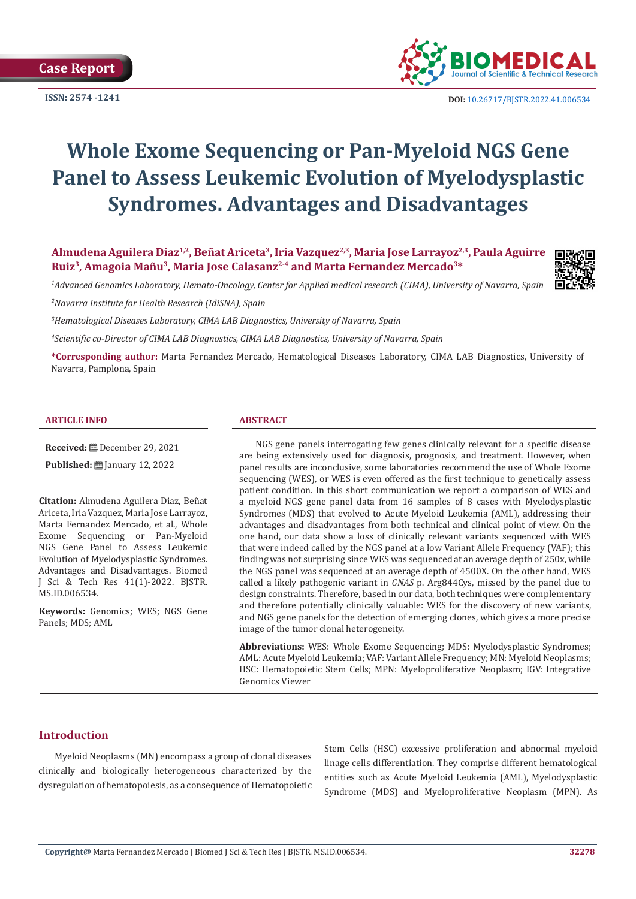**Case Report** 



**ISSN:** 2574 -1241 **DOI:** [10.26717/BJSTR.2022.41.006534](https://dx.doi.org/10.26717/BJSTR.2022.41.006534)

# **Whole Exome Sequencing or Pan-Myeloid NGS Gene Panel to Assess Leukemic Evolution of Myelodysplastic Syndromes. Advantages and Disadvantages**

**Almudena Aguilera Diaz1,2, Beñat Ariceta3, Iria Vazquez2,3, Maria Jose Larrayoz2,3, Paula Aguirre Ruiz3, Amagoia Mañu3, Maria Jose Calasanz2-4 and Marta Fernandez Mercado3\***

*1 Advanced Genomics Laboratory, Hemato-Oncology, Center for Applied medical research (CIMA), University of Navarra, Spain*



*2 Navarra Institute for Health Research (IdiSNA), Spain* 

*3 Hematological Diseases Laboratory, CIMA LAB Diagnostics, University of Navarra, Spain*

*4 Scientific co-Director of CIMA LAB Diagnostics, CIMA LAB Diagnostics, University of Navarra, Spain*

**\*Corresponding author:** Marta Fernandez Mercado, Hematological Diseases Laboratory, CIMA LAB Diagnostics, University of Navarra, Pamplona, Spain

#### **ARTICLE INFO ABSTRACT**

**Received: ■** December 29, 2021

**Published: ■ January 12, 2022** 

**Citation:** Almudena Aguilera Diaz, Beñat Ariceta, Iria Vazquez, Maria Jose Larrayoz, Marta Fernandez Mercado, et al., Whole Exome Sequencing or Pan-Myeloid NGS Gene Panel to Assess Leukemic Evolution of Myelodysplastic Syndromes. Advantages and Disadvantages. Biomed J Sci & Tech Res 41(1)-2022. BJSTR. MS.ID.006534.

**Keywords:** Genomics; WES; NGS Gene Panels; MDS; AML

NGS gene panels interrogating few genes clinically relevant for a specific disease are being extensively used for diagnosis, prognosis, and treatment. However, when panel results are inconclusive, some laboratories recommend the use of Whole Exome sequencing (WES), or WES is even offered as the first technique to genetically assess patient condition. In this short communication we report a comparison of WES and a myeloid NGS gene panel data from 16 samples of 8 cases with Myelodysplastic Syndromes (MDS) that evolved to Acute Myeloid Leukemia (AML), addressing their advantages and disadvantages from both technical and clinical point of view. On the one hand, our data show a loss of clinically relevant variants sequenced with WES that were indeed called by the NGS panel at a low Variant Allele Frequency (VAF); this finding was not surprising since WES was sequenced at an average depth of 250x, while the NGS panel was sequenced at an average depth of 4500X. On the other hand, WES called a likely pathogenic variant in *GNAS* p. Arg844Cys, missed by the panel due to design constraints. Therefore, based in our data, both techniques were complementary and therefore potentially clinically valuable: WES for the discovery of new variants, and NGS gene panels for the detection of emerging clones, which gives a more precise image of the tumor clonal heterogeneity.

**Abbreviations:** WES: Whole Exome Sequencing; MDS: Myelodysplastic Syndromes; AML: Acute Myeloid Leukemia; VAF: Variant Allele Frequency; MN: Myeloid Neoplasms; HSC: Hematopoietic Stem Cells; MPN: Myeloproliferative Neoplasm; IGV: Integrative Genomics Viewer

#### **Introduction**

Myeloid Neoplasms (MN) encompass a group of clonal diseases clinically and biologically heterogeneous characterized by the dysregulation of hematopoiesis, as a consequence of Hematopoietic Stem Cells (HSC) excessive proliferation and abnormal myeloid linage cells differentiation. They comprise different hematological entities such as Acute Myeloid Leukemia (AML), Myelodysplastic Syndrome (MDS) and Myeloproliferative Neoplasm (MPN). As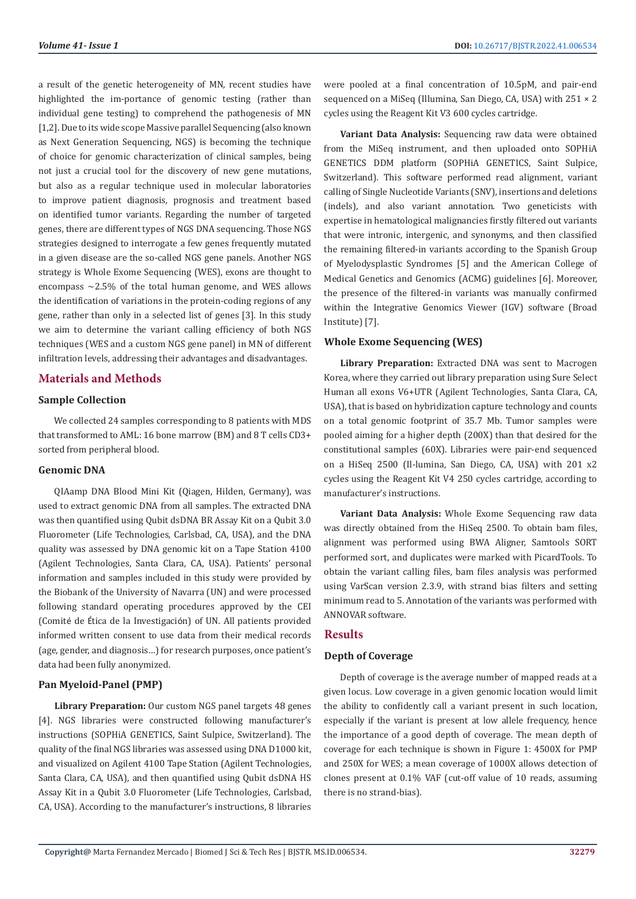a result of the genetic heterogeneity of MN, recent studies have highlighted the im-portance of genomic testing (rather than individual gene testing) to comprehend the pathogenesis of MN [1,2]. Due to its wide scope Massive parallel Sequencing (also known as Next Generation Sequencing, NGS) is becoming the technique of choice for genomic characterization of clinical samples, being not just a crucial tool for the discovery of new gene mutations, but also as a regular technique used in molecular laboratories to improve patient diagnosis, prognosis and treatment based on identified tumor variants. Regarding the number of targeted genes, there are different types of NGS DNA sequencing. Those NGS strategies designed to interrogate a few genes frequently mutated in a given disease are the so-called NGS gene panels. Another NGS strategy is Whole Exome Sequencing (WES), exons are thought to encompass  $\sim$ 2.5% of the total human genome, and WES allows the identification of variations in the protein-coding regions of any gene, rather than only in a selected list of genes [3]. In this study we aim to determine the variant calling efficiency of both NGS techniques (WES and a custom NGS gene panel) in MN of different infiltration levels, addressing their advantages and disadvantages.

# **Materials and Methods**

#### **Sample Collection**

We collected 24 samples corresponding to 8 patients with MDS that transformed to AML: 16 bone marrow (BM) and 8 T cells CD3+ sorted from peripheral blood.

#### **Genomic DNA**

QIAamp DNA Blood Mini Kit (Qiagen, Hilden, Germany), was used to extract genomic DNA from all samples. The extracted DNA was then quantified using Qubit dsDNA BR Assay Kit on a Qubit 3.0 Fluorometer (Life Technologies, Carlsbad, CA, USA), and the DNA quality was assessed by DNA genomic kit on a Tape Station 4100 (Agilent Technologies, Santa Clara, CA, USA). Patients' personal information and samples included in this study were provided by the Biobank of the University of Navarra (UN) and were processed following standard operating procedures approved by the CEI (Comité de Ética de la Investigación) of UN. All patients provided informed written consent to use data from their medical records (age, gender, and diagnosis…) for research purposes, once patient's data had been fully anonymized.

#### **Pan Myeloid-Panel (PMP)**

**Library Preparation:** Our custom NGS panel targets 48 genes [4]. NGS libraries were constructed following manufacturer's instructions (SOPHiA GENETICS, Saint Sulpice, Switzerland). The quality of the final NGS libraries was assessed using DNA D1000 kit, and visualized on Agilent 4100 Tape Station (Agilent Technologies, Santa Clara, CA, USA), and then quantified using Qubit dsDNA HS Assay Kit in a Qubit 3.0 Fluorometer (Life Technologies, Carlsbad, CA, USA). According to the manufacturer's instructions, 8 libraries

were pooled at a final concentration of 10.5pM, and pair-end sequenced on a MiSeq (Illumina, San Diego, CA, USA) with 251 × 2 cycles using the Reagent Kit V3 600 cycles cartridge.

**Variant Data Analysis:** Sequencing raw data were obtained from the MiSeq instrument, and then uploaded onto SOPHiA GENETICS DDM platform (SOPHiA GENETICS, Saint Sulpice, Switzerland). This software performed read alignment, variant calling of Single Nucleotide Variants (SNV), insertions and deletions (indels), and also variant annotation. Two geneticists with expertise in hematological malignancies firstly filtered out variants that were intronic, intergenic, and synonyms, and then classified the remaining filtered-in variants according to the Spanish Group of Myelodysplastic Syndromes [5] and the American College of Medical Genetics and Genomics (ACMG) guidelines [6]. Moreover, the presence of the filtered-in variants was manually confirmed within the Integrative Genomics Viewer (IGV) software (Broad Institute) [7].

#### **Whole Exome Sequencing (WES)**

**Library Preparation:** Extracted DNA was sent to Macrogen Korea, where they carried out library preparation using Sure Select Human all exons V6+UTR (Agilent Technologies, Santa Clara, CA, USA), that is based on hybridization capture technology and counts on a total genomic footprint of 35.7 Mb. Tumor samples were pooled aiming for a higher depth (200X) than that desired for the constitutional samples (60X). Libraries were pair-end sequenced on a HiSeq 2500 (Il-lumina, San Diego, CA, USA) with 201 x2 cycles using the Reagent Kit V4 250 cycles cartridge, according to manufacturer's instructions.

**Variant Data Analysis:** Whole Exome Sequencing raw data was directly obtained from the HiSeq 2500. To obtain bam files, alignment was performed using BWA Aligner, Samtools SORT performed sort, and duplicates were marked with PicardTools. To obtain the variant calling files, bam files analysis was performed using VarScan version 2.3.9, with strand bias filters and setting minimum read to 5. Annotation of the variants was performed with ANNOVAR software.

### **Results**

#### **Depth of Coverage**

Depth of coverage is the average number of mapped reads at a given locus. Low coverage in a given genomic location would limit the ability to confidently call a variant present in such location, especially if the variant is present at low allele frequency, hence the importance of a good depth of coverage. The mean depth of coverage for each technique is shown in Figure 1: 4500X for PMP and 250X for WES; a mean coverage of 1000X allows detection of clones present at 0.1% VAF (cut-off value of 10 reads, assuming there is no strand-bias).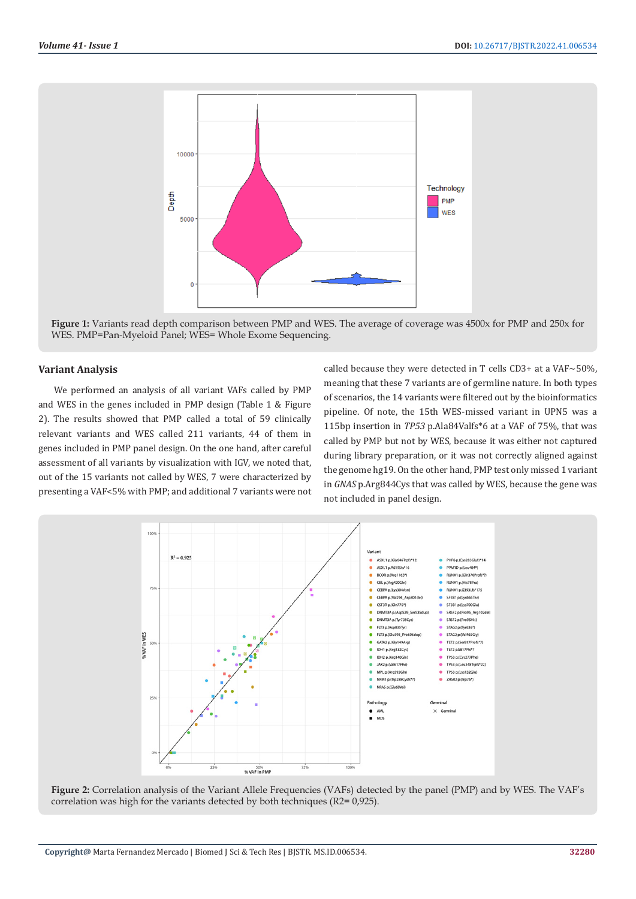

**Figure 1:** Variants read depth comparison between PMP and WES. The average of coverage was 4500x for PMP and 250x for WES. PMP=Pan-Myeloid Panel; WES= Whole Exome Sequencing.

#### **Variant Analysis**

We performed an analysis of all variant VAFs called by PMP and WES in the genes included in PMP design (Table 1 & Figure 2). The results showed that PMP called a total of 59 clinically relevant variants and WES called 211 variants, 44 of them in genes included in PMP panel design. On the one hand, after careful assessment of all variants by visualization with IGV, we noted that, out of the 15 variants not called by WES, 7 were characterized by presenting a VAF<5% with PMP; and additional 7 variants were not called because they were detected in T cells CD3+ at a VAF $\sim$ 50%, meaning that these 7 variants are of germline nature. In both types of scenarios, the 14 variants were filtered out by the bioinformatics pipeline. Of note, the 15th WES-missed variant in UPN5 was a 115bp insertion in *TP53* p.Ala84Valfs\*6 at a VAF of 75%, that was called by PMP but not by WES, because it was either not captured during library preparation, or it was not correctly aligned against the genome hg19. On the other hand, PMP test only missed 1 variant in *GNAS* p.Arg844Cys that was called by WES, because the gene was not included in panel design.



**Figure 2:** Correlation analysis of the Variant Allele Frequencies (VAFs) detected by the panel (PMP) and by WES. The VAF's correlation was high for the variants detected by both techniques (R2= 0,925).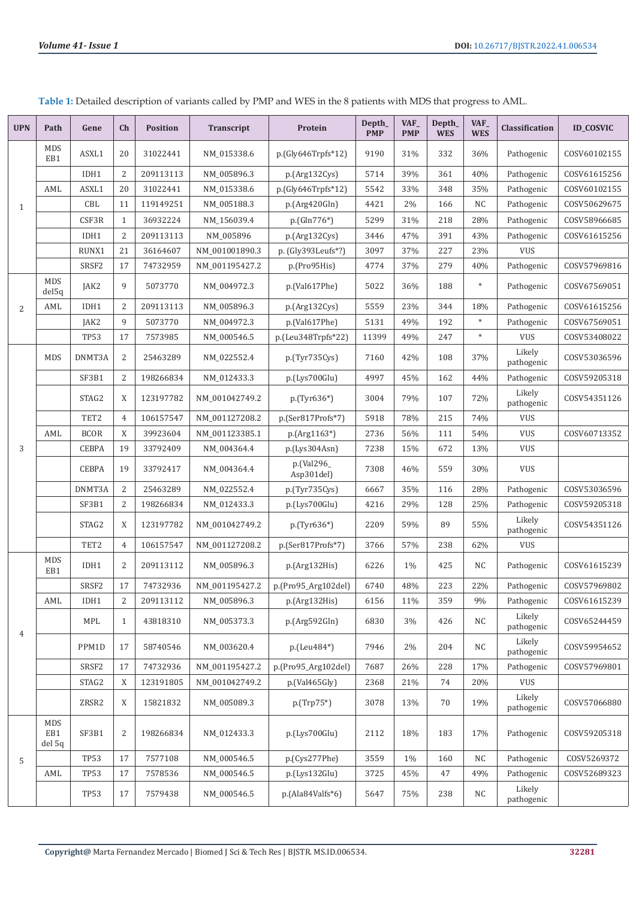| <b>UPN</b>     | Path                        | Gene              | Ch             | <b>Position</b> | Transcript     | Protein                  | Depth_<br><b>PMP</b> | VAF_<br><b>PMP</b> | Depth_<br><b>WES</b> | VAF<br><b>WES</b> | Classification       | <b>ID COSVIC</b> |
|----------------|-----------------------------|-------------------|----------------|-----------------|----------------|--------------------------|----------------------|--------------------|----------------------|-------------------|----------------------|------------------|
| $\mathbf{1}$   | <b>MDS</b><br>EB1           | ASXL1             | 20             | 31022441        | NM_015338.6    | p.(Gly646Trpfs*12)       | 9190                 | 31%                | 332                  | 36%               | Pathogenic           | COSV60102155     |
|                |                             | IDH1              | 2              | 209113113       | NM_005896.3    | p.(Arg132Cys)            | 5714                 | 39%                | 361                  | 40%               | Pathogenic           | COSV61615256     |
|                | AML                         | ASXL1             | 20             | 31022441        | NM_015338.6    | p.(Gly646Trpfs*12)       | 5542                 | 33%                | 348                  | 35%               | Pathogenic           | COSV60102155     |
|                |                             | CBL               | 11             | 119149251       | NM_005188.3    | p.(Arg420Gln)            | 4421                 | 2%                 | 166                  | NC                | Pathogenic           | COSV50629675     |
|                |                             | CSF3R             | $\mathbf{1}$   | 36932224        | NM_156039.4    | $p.(Gln776*)$            | 5299                 | 31%                | 218                  | 28%               | Pathogenic           | COSV58966685     |
|                |                             | IDH1              | 2              | 209113113       | NM 005896      | p.(Arg132Cys)            | 3446                 | 47%                | 391                  | 43%               | Pathogenic           | COSV61615256     |
|                |                             | RUNX1             | 21             | 36164607        | NM_001001890.3 | p. (Gly393Leufs*?)       | 3097                 | 37%                | 227                  | 23%               | <b>VUS</b>           |                  |
|                |                             | SRSF <sub>2</sub> | 17             | 74732959        | NM_001195427.2 | p.(Pro95His)             | 4774                 | 37%                | 279                  | 40%               | Pathogenic           | COSV57969816     |
|                | <b>MDS</b><br>del5q         | JAK2              | 9              | 5073770         | NM_004972.3    | p.(Val617Phe)            | 5022                 | 36%                | 188                  | $\ast$            | Pathogenic           | COSV67569051     |
| $\overline{2}$ | AML                         | IDH1              | 2              | 209113113       | NM_005896.3    | p.(Arg132Cys)            | 5559                 | 23%                | 344                  | 18%               | Pathogenic           | COSV61615256     |
|                |                             | JAK2              | 9              | 5073770         | NM_004972.3    | p.(Val617Phe)            | 5131                 | 49%                | 192                  | $\ast$            | Pathogenic           | COSV67569051     |
|                |                             | <b>TP53</b>       | 17             | 7573985         | NM_000546.5    | p.(Leu348Trpfs*22)       | 11399                | 49%                | 247                  | $\ast$            | <b>VUS</b>           | COSV53408022     |
|                | <b>MDS</b>                  | DNMT3A            | 2              | 25463289        | NM_022552.4    | p.(Tyr735Cys)            | 7160                 | 42%                | 108                  | 37%               | Likely<br>pathogenic | COSV53036596     |
|                |                             | SF3B1             | 2              | 198266834       | NM_012433.3    | p.(Lys700Glu)            | 4997                 | 45%                | 162                  | 44%               | Pathogenic           | COSV59205318     |
| 3              |                             | STAG2             | X              | 123197782       | NM_001042749.2 | $p(Tyr636*)$             | 3004                 | 79%                | 107                  | 72%               | Likely<br>pathogenic | COSV54351126     |
|                |                             | TET2              | 4              | 106157547       | NM_001127208.2 | p.(Ser817Profs*7)        | 5918                 | 78%                | 215                  | 74%               | <b>VUS</b>           |                  |
|                | AML                         | <b>BCOR</b>       | X              | 39923604        | NM_001123385.1 | p.(Arg1163*)             | 2736                 | 56%                | 111                  | 54%               | <b>VUS</b>           | COSV60713352     |
|                |                             | <b>CEBPA</b>      | 19             | 33792409        | NM_004364.4    | p.(Lys304Asn)            | 7238                 | 15%                | 672                  | 13%               | <b>VUS</b>           |                  |
|                |                             | <b>CEBPA</b>      | 19             | 33792417        | NM_004364.4    | p.(Val296_<br>Asp301del) | 7308                 | 46%                | 559                  | 30%               | <b>VUS</b>           |                  |
|                |                             | DNMT3A            | $\overline{c}$ | 25463289        | NM_022552.4    | p.(Tyr735Cys)            | 6667                 | 35%                | 116                  | 28%               | Pathogenic           | COSV53036596     |
|                |                             | SF3B1             | 2              | 198266834       | NM_012433.3    | p.(Lys700Glu)            | 4216                 | 29%                | 128                  | 25%               | Pathogenic           | COSV59205318     |
|                |                             | STAG2             | X              | 123197782       | NM_001042749.2 | p.(Tyr636*)              | 2209                 | 59%                | 89                   | 55%               | Likely<br>pathogenic | COSV54351126     |
|                |                             | TET2              | 4              | 106157547       | NM 001127208.2 | p.(Ser817Profs*7)        | 3766                 | 57%                | 238                  | 62%               | <b>VUS</b>           |                  |
|                | <b>MDS</b><br>EB1           | IDH1              | 2              | 209113112       | NM_005896.3    | p.(Arg132His)            | 6226                 | $1\%$              | 425                  | NC                | Pathogenic           | COSV61615239     |
|                |                             | SRSF <sub>2</sub> | 17             | 74732936        | NM_001195427.2 | p.(Pro95_Arg102del)      | 6740                 | 48%                | 223                  | 22%               | Pathogenic           | COSV57969802     |
|                | AML                         | IDH1              | 2              | 209113112       | NM_005896.3    | p.(Arg132His)            | 6156                 | 11%                | 359                  | 9%                | Pathogenic           | COSV61615239     |
| $\overline{4}$ |                             | MPL               | $\mathbf{1}$   | 43818310        | NM_005373.3    | p.(Arg592Gln)            | 6830                 | 3%                 | 426                  | NC                | Likely<br>pathogenic | COSV65244459     |
|                |                             | PPM1D             | 17             | 58740546        | NM_003620.4    | p.(Leu484*)              | 7946                 | 2%                 | 204                  | NC                | Likely<br>pathogenic | COSV59954652     |
|                |                             | SRSF2             | $17\,$         | 74732936        | NM_001195427.2 | p.(Pro95_Arg102del)      | 7687                 | 26%                | 228                  | 17%               | Pathogenic           | COSV57969801     |
|                |                             | STAG2             | X              | 123191805       | NM_001042749.2 | p.(Val465Gly)            | 2368                 | 21%                | 74                   | 20%               | <b>VUS</b>           |                  |
|                |                             | ZRSR2             | X              | 15821832        | NM_005089.3    | $p.(Trp75*)$             | 3078                 | 13%                | 70                   | 19%               | Likely<br>pathogenic | COSV57066880     |
| 5              | <b>MDS</b><br>EB1<br>del 5q | SF3B1             | 2              | 198266834       | NM_012433.3    | p.(Lys700Glu)            | 2112                 | 18%                | 183                  | 17%               | Pathogenic           | COSV59205318     |
|                |                             | <b>TP53</b>       | 17             | 7577108         | NM_000546.5    | p.(Cys277Phe)            | 3559                 | 1%                 | 160                  | NC                | Pathogenic           | COSV5269372      |
|                | AML                         | <b>TP53</b>       | 17             | 7578536         | NM_000546.5    | p.(Lys132Glu)            | 3725                 | 45%                | 47                   | 49%               | Pathogenic           | COSV52689323     |
|                |                             | <b>TP53</b>       | 17             | 7579438         | NM_000546.5    | p.(Ala84Valfs*6)         | 5647                 | 75%                | 238                  | NC                | Likely<br>pathogenic |                  |

**Table 1:** Detailed description of variants called by PMP and WES in the 8 patients with MDS that progress to AML.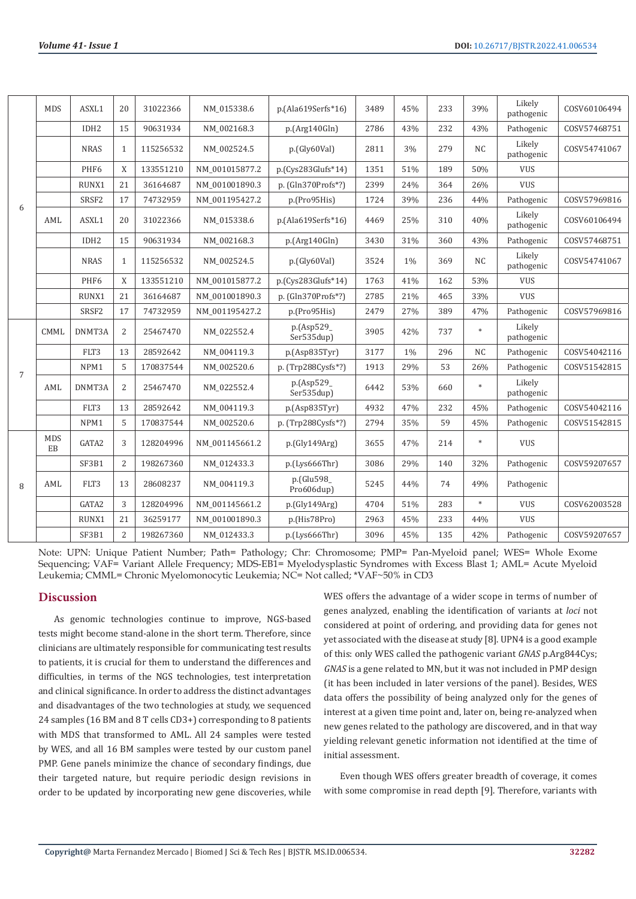| 6              | <b>MDS</b>       | ASXL1             | 20             | 31022366  | NM 015338.6    | p.(Ala619Serfs*16)       | 3489 | 45%   | 233 | 39%       | Likely<br>pathogenic | COSV60106494 |
|----------------|------------------|-------------------|----------------|-----------|----------------|--------------------------|------|-------|-----|-----------|----------------------|--------------|
|                |                  | IDH <sub>2</sub>  | 15             | 90631934  | NM 002168.3    | p.(Arg140Gln)            | 2786 | 43%   | 232 | 43%       | Pathogenic           | COSV57468751 |
|                |                  | <b>NRAS</b>       | $\mathbf{1}$   | 115256532 | NM_002524.5    | p.(Gly60Val)             | 2811 | 3%    | 279 | <b>NC</b> | Likely<br>pathogenic | COSV54741067 |
|                |                  | PHF <sub>6</sub>  | X              | 133551210 | NM 001015877.2 | p.(Cys283Glufs*14)       | 1351 | 51%   | 189 | 50%       | <b>VUS</b>           |              |
|                |                  | RUNX1             | 21             | 36164687  | NM 001001890.3 | $p.$ (Gln370Profs $*$ ?) | 2399 | 24%   | 364 | 26%       | <b>VUS</b>           |              |
|                |                  | SRSF <sub>2</sub> | 17             | 74732959  | NM 001195427.2 | p.(Pro95His)             | 1724 | 39%   | 236 | 44%       | Pathogenic           | COSV57969816 |
|                | AML              | ASXL1             | 20             | 31022366  | NM 015338.6    | p.(Ala619Serfs*16)       | 4469 | 25%   | 310 | 40%       | Likely<br>pathogenic | COSV60106494 |
|                |                  | IDH <sub>2</sub>  | 15             | 90631934  | NM 002168.3    | p.(Arg140Gln)            | 3430 | 31%   | 360 | 43%       | Pathogenic           | COSV57468751 |
|                |                  | <b>NRAS</b>       | 1              | 115256532 | NM 002524.5    | p.(Gly60Val)             | 3524 | $1\%$ | 369 | NC        | Likely<br>pathogenic | COSV54741067 |
|                |                  | PHF6              | X              | 133551210 | NM 001015877.2 | $p.(Cys283Glufs*14)$     | 1763 | 41%   | 162 | 53%       | <b>VUS</b>           |              |
|                |                  | RUNX1             | 21             | 36164687  | NM_001001890.3 | p. (Gln370Profs*?)       | 2785 | 21%   | 465 | 33%       | <b>VUS</b>           |              |
|                |                  | SRSF2             | 17             | 74732959  | NM 001195427.2 | p.(Pro95His)             | 2479 | 27%   | 389 | 47%       | Pathogenic           | COSV57969816 |
| $\overline{7}$ | CMML             | DNMT3A            | 2              | 25467470  | NM_022552.4    | p.(Asp529_<br>Ser535dup) | 3905 | 42%   | 737 | $\ast$    | Likely<br>pathogenic |              |
|                |                  | FLT3              | 13             | 28592642  | NM 004119.3    | p.(Asp835Tyr)            | 3177 | $1\%$ | 296 | <b>NC</b> | Pathogenic           | COSV54042116 |
|                |                  | NPM1              | 5              | 170837544 | NM_002520.6    | p. (Trp288Cysfs*?)       | 1913 | 29%   | 53  | 26%       | Pathogenic           | COSV51542815 |
|                | AML              | DNMT3A            | 2              | 25467470  | NM_022552.4    | p.(Asp529_<br>Ser535dup) | 6442 | 53%   | 660 | $\ast$    | Likely<br>pathogenic |              |
|                |                  | FLT3              | 13             | 28592642  | NM 004119.3    | p.(Asp835Tyr)            | 4932 | 47%   | 232 | 45%       | Pathogenic           | COSV54042116 |
|                |                  | NPM1              | 5              | 170837544 | NM_002520.6    | p. (Trp288Cysfs*?)       | 2794 | 35%   | 59  | 45%       | Pathogenic           | COSV51542815 |
| 8              | <b>MDS</b><br>EB | GATA2             | 3              | 128204996 | NM 001145661.2 | p.(Gly149Arg)            | 3655 | 47%   | 214 | $\ast$    | <b>VUS</b>           |              |
|                |                  | SF3B1             | $\overline{2}$ | 198267360 | NM_012433.3    | p.(Lys666Thr)            | 3086 | 29%   | 140 | 32%       | Pathogenic           | COSV59207657 |
|                | AML              | FLT3              | 13             | 28608237  | NM 004119.3    | p.(Glu598<br>Pro606dup)  | 5245 | 44%   | 74  | 49%       | Pathogenic           |              |
|                |                  | GATA2             | 3              | 128204996 | NM_001145661.2 | p.(Gly149Arg)            | 4704 | 51%   | 283 | $\ast$    | <b>VUS</b>           | COSV62003528 |
|                |                  | RUNX1             | 21             | 36259177  | NM 001001890.3 | p.(His78Pro)             | 2963 | 45%   | 233 | 44%       | <b>VUS</b>           |              |
|                |                  | SF3B1             | $\overline{2}$ | 198267360 | NM 012433.3    | p.(Lys666Thr)            | 3096 | 45%   | 135 | 42%       | Pathogenic           | COSV59207657 |

Note: UPN: Unique Patient Number; Path= Pathology; Chr: Chromosome; PMP= Pan-Myeloid panel; WES= Whole Exome Sequencing; VAF= Variant Allele Frequency; MDS-EB1= Myelodysplastic Syndromes with Excess Blast 1; AML= Acute Myeloid Leukemia; CMML= Chronic Myelomonocytic Leukemia; NC= Not called; \*VAF~50% in CD3

#### **Discussion**

As genomic technologies continue to improve, NGS-based tests might become stand-alone in the short term. Therefore, since clinicians are ultimately responsible for communicating test results to patients, it is crucial for them to understand the differences and difficulties, in terms of the NGS technologies, test interpretation and clinical significance. In order to address the distinct advantages and disadvantages of the two technologies at study, we sequenced 24 samples (16 BM and 8 T cells CD3+) corresponding to 8 patients with MDS that transformed to AML. All 24 samples were tested by WES, and all 16 BM samples were tested by our custom panel PMP. Gene panels minimize the chance of secondary findings, due their targeted nature, but require periodic design revisions in order to be updated by incorporating new gene discoveries, while

WES offers the advantage of a wider scope in terms of number of genes analyzed, enabling the identification of variants at *loci* not considered at point of ordering, and providing data for genes not yet associated with the disease at study [8]. UPN4 is a good example of this: only WES called the pathogenic variant *GNAS* p.Arg844Cys; *GNAS* is a gene related to MN, but it was not included in PMP design (it has been included in later versions of the panel). Besides, WES data offers the possibility of being analyzed only for the genes of interest at a given time point and, later on, being re-analyzed when new genes related to the pathology are discovered, and in that way yielding relevant genetic information not identified at the time of initial assessment.

Even though WES offers greater breadth of coverage, it comes with some compromise in read depth [9]. Therefore, variants with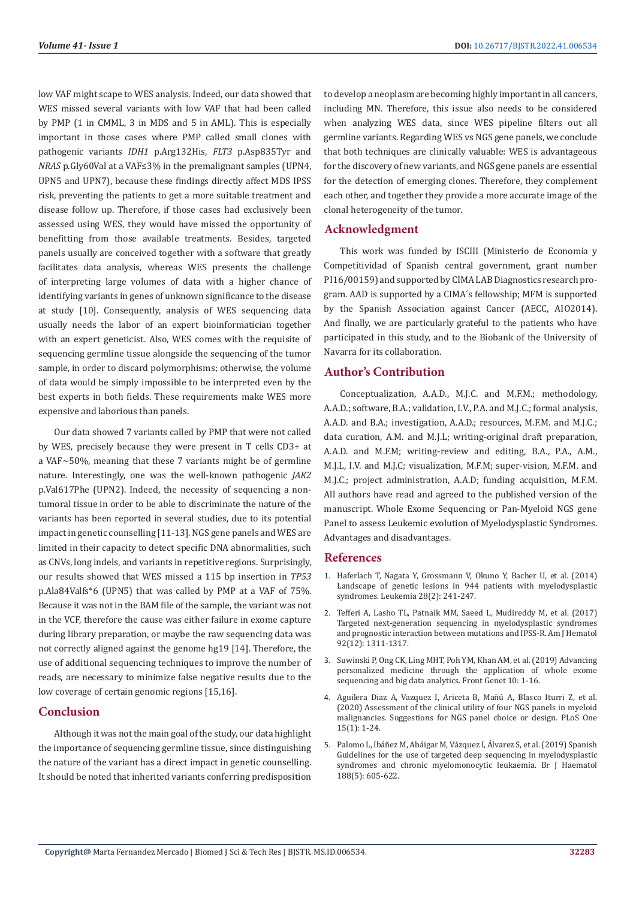low VAF might scape to WES analysis. Indeed, our data showed that WES missed several variants with low VAF that had been called by PMP (1 in CMML, 3 in MDS and 5 in AML). This is especially important in those cases where PMP called small clones with pathogenic variants *IDH1* p.Arg132His, *FLT3* p.Asp835Tyr and *NRAS* p.Gly60Val at a VAF≤3% in the premalignant samples (UPN4, UPN5 and UPN7), because these findings directly affect MDS IPSS risk, preventing the patients to get a more suitable treatment and disease follow up. Therefore, if those cases had exclusively been assessed using WES, they would have missed the opportunity of benefitting from those available treatments. Besides, targeted panels usually are conceived together with a software that greatly facilitates data analysis, whereas WES presents the challenge of interpreting large volumes of data with a higher chance of identifying variants in genes of unknown significance to the disease at study [10]. Consequently, analysis of WES sequencing data usually needs the labor of an expert bioinformatician together with an expert geneticist. Also, WES comes with the requisite of sequencing germline tissue alongside the sequencing of the tumor sample, in order to discard polymorphisms; otherwise, the volume of data would be simply impossible to be interpreted even by the best experts in both fields. These requirements make WES more expensive and laborious than panels.

Our data showed 7 variants called by PMP that were not called by WES, precisely because they were present in T cells CD3+ at a VAF~50%, meaning that these 7 variants might be of germline nature. Interestingly, one was the well-known pathogenic *JAK2*  p.Val617Phe (UPN2). Indeed, the necessity of sequencing a nontumoral tissue in order to be able to discriminate the nature of the variants has been reported in several studies, due to its potential impact in genetic counselling [11-13]. NGS gene panels and WES are limited in their capacity to detect specific DNA abnormalities, such as CNVs, long indels, and variants in repetitive regions. Surprisingly, our results showed that WES missed a 115 bp insertion in *TP53*  p.Ala84Valfs\*6 (UPN5) that was called by PMP at a VAF of 75%. Because it was not in the BAM file of the sample, the variant was not in the VCF, therefore the cause was either failure in exome capture during library preparation, or maybe the raw sequencing data was not correctly aligned against the genome hg19 [14]. Therefore, the use of additional sequencing techniques to improve the number of reads, are necessary to minimize false negative results due to the low coverage of certain genomic regions [15,16].

#### **Conclusion**

Although it was not the main goal of the study, our data highlight the importance of sequencing germline tissue, since distinguishing the nature of the variant has a direct impact in genetic counselling. It should be noted that inherited variants conferring predisposition to develop a neoplasm are becoming highly important in all cancers, including MN. Therefore, this issue also needs to be considered when analyzing WES data, since WES pipeline filters out all germline variants. Regarding WES vs NGS gene panels, we conclude that both techniques are clinically valuable: WES is advantageous for the discovery of new variants, and NGS gene panels are essential for the detection of emerging clones. Therefore, they complement each other, and together they provide a more accurate image of the clonal heterogeneity of the tumor.

## **Acknowledgment**

This work was funded by ISCIII (Ministerio de Economía y Competitividad of Spanish central government, grant number PI16/00159) and supported by CIMA LAB Diagnostics research program. AAD is supported by a CIMA ́s fellowship; MFM is supported by the Spanish Association against Cancer (AECC, AIO2014). And finally, we are particularly grateful to the patients who have participated in this study, and to the Biobank of the University of Navarra for its collaboration.

# **Author's Contribution**

Conceptualization, A.A.D., M.J.C. and M.F.M.; methodology, A.A.D.; software, B.A.; validation, I.V., P.A. and M.J.C.; formal analysis, A.A.D. and B.A.; investigation, A.A.D.; resources, M.F.M. and M.J.C.; data curation, A.M. and M.J.L; writing-original draft preparation, A.A.D. and M.F.M; writing-review and editing, B.A., P.A., A.M., M.J.L, I.V. and M.J.C; visualization, M.F.M; super-vision, M.F.M. and M.J.C.; project administration, A.A.D; funding acquisition, M.F.M. All authors have read and agreed to the published version of the manuscript. Whole Exome Sequencing or Pan-Myeloid NGS gene Panel to assess Leukemic evolution of Myelodysplastic Syndromes. Advantages and disadvantages.

#### **References**

- 1. [Haferlach T, Nagata Y, Grossmann V, Okuno Y, Bacher U, et al. \(2014\)](https://pubmed.ncbi.nlm.nih.gov/24220272/) [Landscape of genetic lesions in 944 patients with myelodysplastic](https://pubmed.ncbi.nlm.nih.gov/24220272/) [syndromes. Leukemia 28\(2\): 241-247.](https://pubmed.ncbi.nlm.nih.gov/24220272/)
- 2. [Tefferi A, Lasho TL, Patnaik MM, Saeed L, Mudireddy M, et al. \(2017\)](https://pubmed.ncbi.nlm.nih.gov/28875545/) [Targeted next-generation sequencing in myelodysplastic syndromes](https://pubmed.ncbi.nlm.nih.gov/28875545/) [and prognostic interaction between mutations and IPSS-R. Am J Hematol](https://pubmed.ncbi.nlm.nih.gov/28875545/) [92\(12\): 1311-1317.](https://pubmed.ncbi.nlm.nih.gov/28875545/)
- 3. [Suwinski P, Ong CK, Ling MHT, Poh YM, Khan AM, et al. \(2019\) Advancing](https://pubmed.ncbi.nlm.nih.gov/30809243/) [personalized medicine through the application of whole exome](https://pubmed.ncbi.nlm.nih.gov/30809243/) [sequencing and big data analytics. Front Genet 10: 1-16.](https://pubmed.ncbi.nlm.nih.gov/30809243/)
- 4. [Aguilera Diaz A, Vazquez I, Ariceta B, Mañú A, Blasco Iturri Z, et al.](https://pubmed.ncbi.nlm.nih.gov/31978184/) [\(2020\) Assessment of the clinical utility of four NGS panels in myeloid](https://pubmed.ncbi.nlm.nih.gov/31978184/) [malignancies. Suggestions for NGS panel choice or design. PLoS One](https://pubmed.ncbi.nlm.nih.gov/31978184/) [15\(1\): 1-24.](https://pubmed.ncbi.nlm.nih.gov/31978184/)
- 5. [Palomo L, Ibáñez M, Abáigar M, Vázquez I, Álvarez S, et al. \(2019\) Spanish](https://pubmed.ncbi.nlm.nih.gov/31621063/) [Guidelines for the use of targeted deep sequencing in myelodysplastic](https://pubmed.ncbi.nlm.nih.gov/31621063/) [syndromes and chronic myelomonocytic leukaemia. Br J Haematol](https://pubmed.ncbi.nlm.nih.gov/31621063/) [188\(5\): 605-622.](https://pubmed.ncbi.nlm.nih.gov/31621063/)